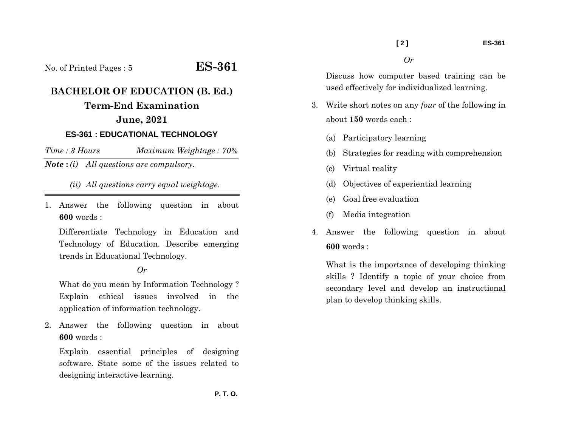No. of Printed Pages : 5 **ES-361**

# **BACHELOR OF EDUCATION (B. Ed.) Term-End Examination June, 2021 ES-361 : EDUCATIONAL TECHNOLOGY**

*Time : 3 HoursMaximum Weightage : 70%* 

*Note* **:** *(i) All questions are compulsory.* 

## *(ii) All questions carry equal weightage.*

1. Answer the following question in about **600** words :

Differentiate Technology in Education and Technology of Education. Describe emerging trends in Educational Technology.

### *Or*

What do you mean by Information Technology ? Explain ethical issues involved in the application of information technology.

2. Answer the following question in about **600** words :

Explain essential principles of designing software. State some of the issues related to designing interactive learning.

*Or* 

Discuss how computer based training can be used effectively for individualized learning.

- 3. Write short notes on any *four* of the following in about **150** words each :
	- (a) Participatory learning
	- (b) Strategies for reading with comprehension
	- (c) Virtual reality
	- (d) Objectives of experiential learning
	- (e) Goal free evaluation
	- (f) Media integration
- 4. Answer the following question in about **600** words :

What is the importance of developing thinking skills ? Identify a topic of your choice from secondary level and develop an instructional plan to develop thinking skills.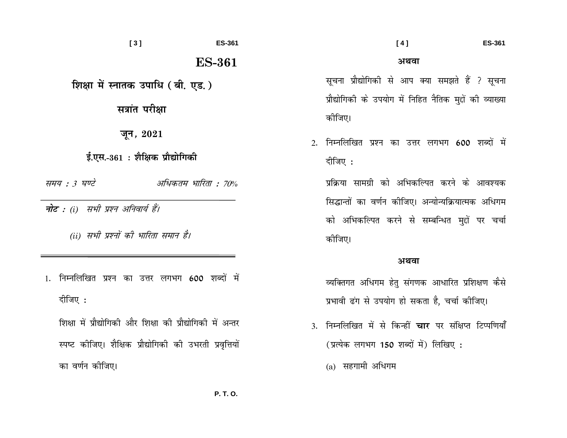|                                      | $[3]$                                        | <b>ES-361</b> | [4]<br><b>ES-361</b>                                                                                    |
|--------------------------------------|----------------------------------------------|---------------|---------------------------------------------------------------------------------------------------------|
|                                      |                                              | <b>ES-361</b> | अथवा                                                                                                    |
|                                      | शिक्षा में स्नातक उपाधि (बी. एड. )           |               | सूचना प्रौद्योगिकी से आप क्या समझते हैं ? सूचना                                                         |
| सत्रांत परीक्षा                      |                                              |               | प्रौद्योगिकी के उपयोग में निहित नैतिक मुद्दों की व्याख्या<br>कीजिए।                                     |
|                                      | जून, 2021<br>ई.एस.-361: शैक्षिक प्रौद्योगिकी |               | 2. निम्नलिखित प्रश्न का उत्तर लगभग 600 शब्दों में<br>दीजिए :                                            |
| : 3 घण्टे                            | अधिकतम भारिता : 70%                          |               | प्रक्रिया सामग्री को अभिकल्पित करने के आवश्यक                                                           |
|                                      | (i) सभी प्रश्न अनिवार्य हैं।                 |               | सिद्धान्तों का वर्णन कीजिए। अन्योन्यक्रियात्मक अधिगम<br>को अभिकल्पित करने से सम्बन्धित मुद्दों पर चर्चा |
| (ii) सभी प्रश्नों की भारिता समान है। |                                              |               | कोजिए।                                                                                                  |
|                                      |                                              |               | अथवा                                                                                                    |

1. निम्नलिखित प्रश्न का उत्तर लगभग 600 शब्दों में दीजिए:

समय : 3

नोट $:(i)$ 

शिक्षा में प्रौद्योगिकी और शिक्षा की प्रौद्योगिकी में अन्तर स्पष्ट कीजिए। शैक्षिक प्रौद्योगिकी की उभरती प्रवृत्तियों का वर्णन कीजिए।

3. निम्नलिखित में से किन्हीं चार पर संक्षिप्त टिप्पणियाँ (प्रत्येक लगभग 150 शब्दों में) लिखिए:

प्रभावी ढंग से उपयोग हो सकता है, चर्चा कोजिए।

व्यक्तिगत अधिगम हेतु संगणक आधारित प्रशिक्षण कैसे

 $(a)$  सहगामी अधिगम